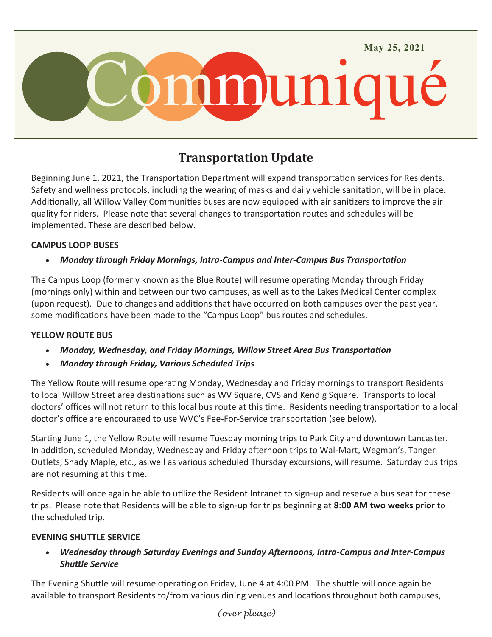

# **Transportation Update**

Beginning June 1, 2021, the Transportation Department will expand transportation services for Residents. Safety and wellness protocols, including the wearing of masks and daily vehicle sanitation, will be in place. Additionally, all Willow Valley Communities buses are now equipped with air sanitizers to improve the air quality for riders. Please note that several changes to transportation routes and schedules will be implemented. These are described below.

## **CAMPUS LOOP BUSES**

## *Monday through Friday Mornings, Intra-Campus and Inter-Campus Bus Transportation*

The Campus Loop (formerly known as the Blue Route) will resume operating Monday through Friday (mornings only) within and between our two campuses, as well as to the Lakes Medical Center complex (upon request). Due to changes and additions that have occurred on both campuses over the past year, some modifications have been made to the "Campus Loop" bus routes and schedules.

#### **YELLOW ROUTE BUS**

- *Monday, Wednesday, and Friday Mornings, Willow Street Area Bus Transportation*
- *Monday through Friday, Various Scheduled Trips*

The Yellow Route will resume operating Monday, Wednesday and Friday mornings to transport Residents to local Willow Street area destinations such as WV Square, CVS and Kendig Square. Transports to local doctors' offices will not return to this local bus route at this time. Residents needing transportation to a local doctor's office are encouraged to use WVC's Fee-For-Service transportation (see below).

Starting June 1, the Yellow Route will resume Tuesday morning trips to Park City and downtown Lancaster. In addition, scheduled Monday, Wednesday and Friday afternoon trips to Wal-Mart, Wegman's, Tanger Outlets, Shady Maple, etc., as well as various scheduled Thursday excursions, will resume. Saturday bus trips are not resuming at this time.

Residents will once again be able to utilize the Resident Intranet to sign-up and reserve a bus seat for these trips. Please note that Residents will be able to sign-up for trips beginning at **8:00 AM two weeks prior** to the scheduled trip.

#### **EVENING SHUTTLE SERVICE**

 *Wednesday through Saturday Evenings and Sunday Afternoons, Intra-Campus and Inter-Campus Shuttle Service*

The Evening Shuttle will resume operating on Friday, June 4 at 4:00 PM. The shuttle will once again be available to transport Residents to/from various dining venues and locations throughout both campuses,